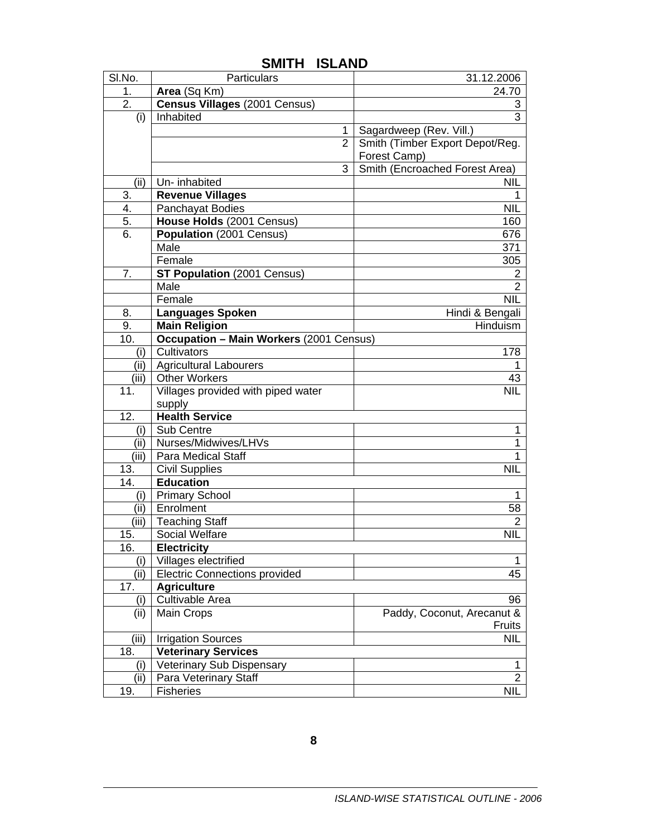| SI.No.           | Particulars                                                            | 31.12.2006                      |
|------------------|------------------------------------------------------------------------|---------------------------------|
| 1.               | Area (Sq Km)                                                           | 24.70                           |
| $\overline{2}$ . | Census Villages (2001 Census)                                          | 3                               |
| (i)              | Inhabited                                                              | 3                               |
|                  | 1                                                                      | Sagardweep (Rev. Vill.)         |
|                  | $\overline{2}$                                                         | Smith (Timber Export Depot/Reg. |
|                  |                                                                        | Forest Camp)                    |
|                  | 3                                                                      | Smith (Encroached Forest Area)  |
| (ii)             | Un-inhabited                                                           | <b>NIL</b>                      |
| 3.               | <b>Revenue Villages</b>                                                | 1                               |
| 4.               | Panchayat Bodies                                                       | <b>NIL</b>                      |
| 5.               | House Holds (2001 Census)                                              | 160                             |
| 6.               | Population (2001 Census)                                               | 676                             |
|                  | Male                                                                   | 371                             |
|                  | Female                                                                 | 305                             |
| 7.               | <b>ST Population (2001 Census)</b>                                     | $\overline{2}$                  |
|                  | Male                                                                   | $\overline{2}$                  |
|                  | Female                                                                 | <b>NIL</b>                      |
| 8.               | <b>Languages Spoken</b>                                                |                                 |
| 9.               |                                                                        | Hindi & Bengali<br>Hinduism     |
| 10.              | <b>Main Religion</b><br><b>Occupation - Main Workers (2001 Census)</b> |                                 |
|                  |                                                                        |                                 |
| (i)              | Cultivators                                                            | 178                             |
| (ii)             | <b>Agricultural Labourers</b>                                          | 1                               |
| (iii)            | <b>Other Workers</b>                                                   | 43                              |
| 11.              | Villages provided with piped water                                     | <b>NIL</b>                      |
|                  | supply                                                                 |                                 |
| 12.              | <b>Health Service</b>                                                  |                                 |
| (i)              | <b>Sub Centre</b>                                                      | $\mathbf 1$                     |
| (ii)             | Nurses/Midwives/LHVs                                                   | $\mathbf 1$                     |
| (iii)            | <b>Para Medical Staff</b>                                              | 1                               |
| 13.              | <b>Civil Supplies</b>                                                  | <b>NIL</b>                      |
| 14.              | <b>Education</b>                                                       |                                 |
| (i)              | <b>Primary School</b>                                                  | 1                               |
| (ii)             | Enrolment                                                              | 58                              |
| (iii)            | <b>Teaching Staff</b>                                                  | 2                               |
| 15.              | Social Welfare                                                         | <b>NIL</b>                      |
| 16.              | Electricity                                                            |                                 |
| (i)              | Villages electrified                                                   | 1                               |
| (ii)             | <b>Electric Connections provided</b>                                   | 45                              |
| 17.              | <b>Agriculture</b>                                                     |                                 |
| (i)              | <b>Cultivable Area</b>                                                 | 96                              |
| (i)              | Main Crops                                                             | Paddy, Coconut, Arecanut &      |
|                  |                                                                        | <b>Fruits</b>                   |
| (iii)            | <b>Irrigation Sources</b>                                              | NIL                             |
| 18.              | <b>Veterinary Services</b>                                             |                                 |
| (i)              | Veterinary Sub Dispensary                                              | 1                               |
| (ii)             | Para Veterinary Staff                                                  | $\overline{2}$                  |
| 19.              | <b>Fisheries</b>                                                       | <b>NIL</b>                      |
|                  |                                                                        |                                 |

## **SMITH ISLAND**